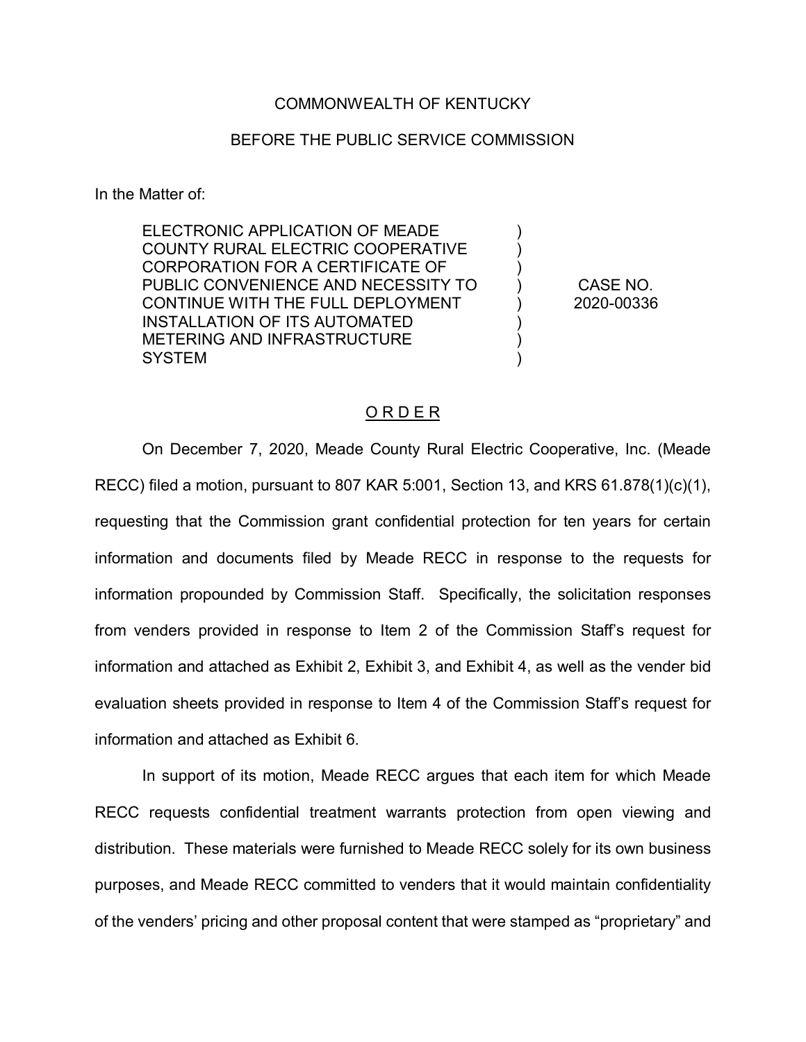## COMMONWEALTH OF KENTUCKY

## BEFORE THE PUBLIC SERVICE COMMISSION

In the Matter of:

ELECTRONIC APPLICATION OF MEADE COUNTY RURAL ELECTRIC COOPERATIVE CORPORATION FOR A CERTIFICATE OF PUBLIC CONVENIENCE AND NECESSITY TO CONTINUE WITH THE FULL DEPLOYMENT INSTALLATION OF ITS AUTOMATED METERING AND INFRASTRUCTURE **SYSTEM** 

CASE NO. 2020-00336

 $\lambda$  $\lambda$ ) ) ) ) ) )

## O R D E R

On December 7, 2020, Meade County Rural Electric Cooperative, Inc. (Meade RECC) filed a motion, pursuant to 807 KAR 5:001, Section 13, and KRS 61.878(1)(c)(1), requesting that the Commission grant confidential protection for ten years for certain information and documents filed by Meade RECC in response to the requests for information propounded by Commission Staff. Specifically, the solicitation responses from venders provided in response to Item 2 of the Commission Staff's request for information and attached as Exhibit 2, Exhibit 3, and Exhibit 4, as well as the vender bid evaluation sheets provided in response to Item 4 of the Commission Staff's request for information and attached as Exhibit 6.

In support of its motion, Meade RECC argues that each item for which Meade RECC requests confidential treatment warrants protection from open viewing and distribution. These materials were furnished to Meade RECC solely for its own business purposes, and Meade RECC committed to venders that it would maintain confidentiality of the venders' pricing and other proposal content that were stamped as "proprietary" and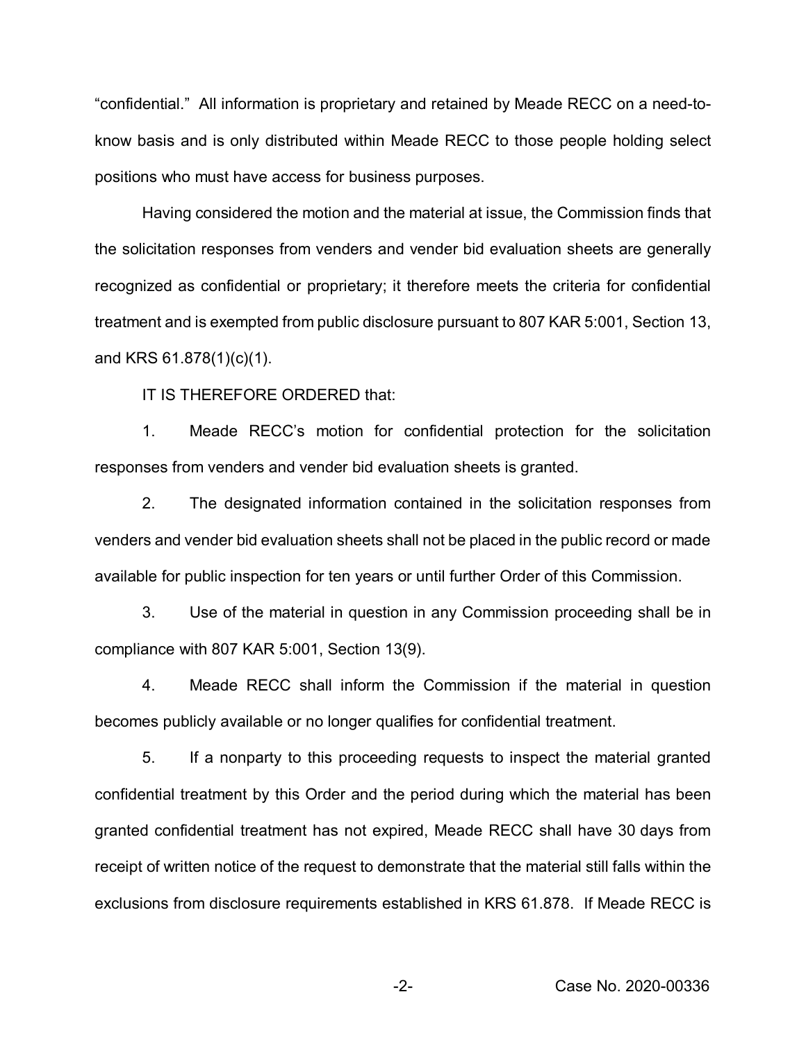"confidential." All information is proprietary and retained by Meade RECC on a need-toknow basis and is only distributed within Meade RECC to those people holding select positions who must have access for business purposes.

Having considered the motion and the material at issue, the Commission finds that the solicitation responses from venders and vender bid evaluation sheets are generally recognized as confidential or proprietary; it therefore meets the criteria for confidential treatment and is exempted from public disclosure pursuant to 807 KAR 5:001, Section 13, and KRS 61.878(1)(c)(1).

IT IS THEREFORE ORDERED that:

1. Meade RECC's motion for confidential protection for the solicitation responses from venders and vender bid evaluation sheets is granted.

2. The designated information contained in the solicitation responses from venders and vender bid evaluation sheets shall not be placed in the public record or made available for public inspection for ten years or until further Order of this Commission.

3. Use of the material in question in any Commission proceeding shall be in compliance with 807 KAR 5:001, Section 13(9).

4. Meade RECC shall inform the Commission if the material in question becomes publicly available or no longer qualifies for confidential treatment.

5. If a nonparty to this proceeding requests to inspect the material granted confidential treatment by this Order and the period during which the material has been granted confidential treatment has not expired, Meade RECC shall have 30 days from receipt of written notice of the request to demonstrate that the material still falls within the exclusions from disclosure requirements established in KRS 61.878. If Meade RECC is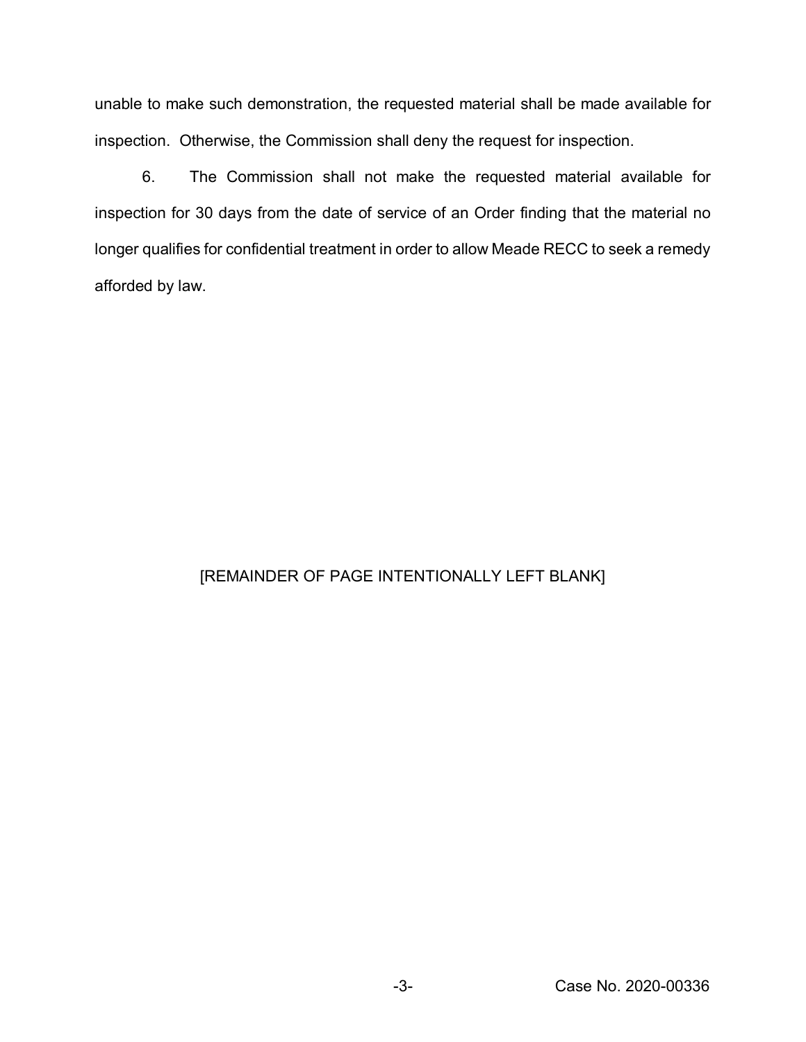unable to make such demonstration, the requested material shall be made available for inspection. Otherwise, the Commission shall deny the request for inspection.

6. The Commission shall not make the requested material available for inspection for 30 days from the date of service of an Order finding that the material no longer qualifies for confidential treatment in order to allow Meade RECC to seek a remedy afforded by law.

## [REMAINDER OF PAGE INTENTIONALLY LEFT BLANK]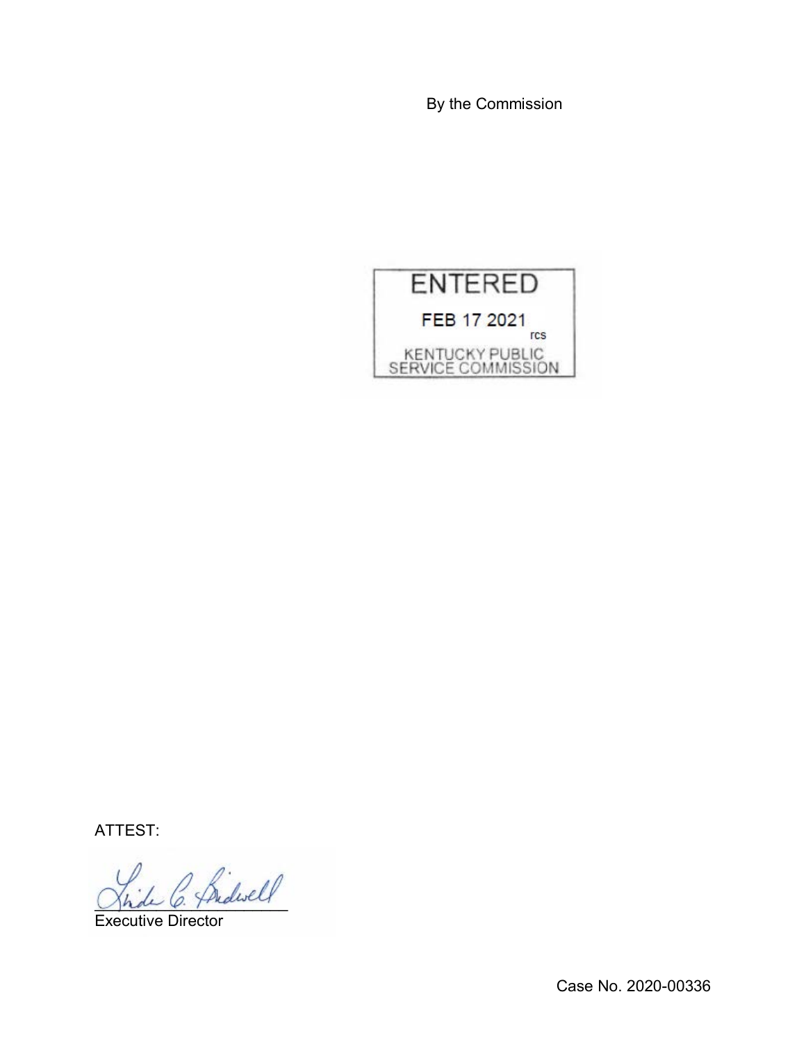By the Commission



ATTEST:

 $\mathcal{A}_{\mathsf{label}}$ 

Executive Director

Case No. 2020-00336